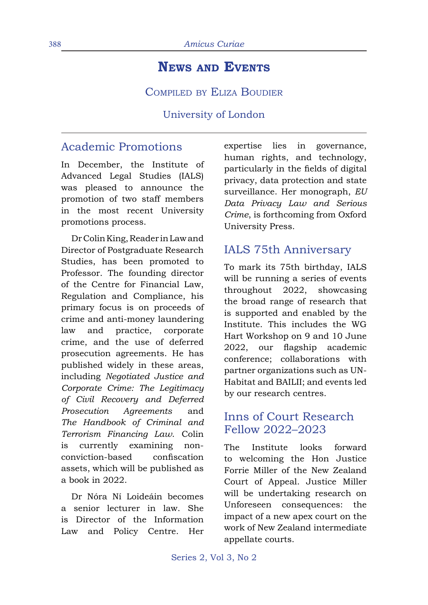# **News and Events**

COMPILED BY ELIZA BOUDIER

University of London

## Academic Promotions

In December, the Institute of Advanced Legal Studies (IALS) was pleased to announce the promotion of two staff members in the most recent University promotions process.

Dr Colin King, Reader in Law and Director of Postgraduate Research Studies, has been promoted to Professor. The founding director of the Centre for Financial Law, Regulation and Compliance, his primary focus is on proceeds of crime and anti-money laundering law and practice, corporate crime, and the use of deferred prosecution agreements. He has published widely in these areas, including *Negotiated Justice and Corporate Crime: The Legitimacy of Civil Recovery and Deferred Prosecution Agreements* and *The Handbook of Criminal and Terrorism Financing Law*. Colin is currently examining nonconviction-based confiscation assets, which will be published as a book in 2022.

Dr Nóra Ní Loideáin becomes a senior lecturer in law. She is Director of the Information Law and Policy Centre. Her

expertise lies in governance, human rights, and technology, particularly in the fields of digital privacy, data protection and state surveillance. Her monograph, *EU Data Privacy Law and Serious Crime*, is forthcoming from Oxford University Press.

# IALS 75th Anniversary

To mark its 75th birthday, IALS will be running a series of events throughout 2022, showcasing the broad range of research that is supported and enabled by the Institute. This includes the WG Hart Workshop on 9 and 10 June 2022, our flagship academic conference; collaborations with partner organizations such as UN-Habitat and BAILII; and events led by our research centres.

## Inns of Court Research Fellow 2022–2023

The Institute looks forward to welcoming the Hon Justice Forrie Miller of the New Zealand Court of Appeal. Justice Miller will be undertaking research on Unforeseen consequences: the impact of a new apex court on the work of New Zealand intermediate appellate courts.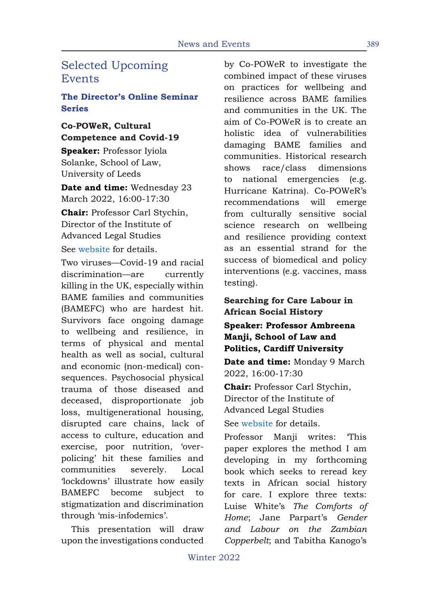# Selected Upcoming Events

### **The Director's Online Seminar Series**

### **Co-POWeR, Cultural Competence and Covid-19**

**Speaker:** Professor Iyiola Solanke, School of Law, University of Leeds

**Date and time:** Wednesday 23 March 2022, 16:00-17:30

**Chair:** Professor Carl Stychin, Director of the Institute of Advanced Legal Studies

See website for details.

Two viruses—Covid-19 and racial discrimination—are currently killing in the UK, especially within BAME families and communities (BAMEFC) who are hardest hit. Survivors face ongoing damage to wellbeing and resilience, in terms of physical and mental health as well as social, cultural and economic (non-medical) consequences. Psychosocial physical trauma of those diseased and deceased, disproportionate job loss, multigenerational housing, disrupted care chains, lack of access to culture, education and exercise, poor nutrition, 'overpolicing' hit these families and communities severely. Local 'lockdowns' illustrate how easily BAMEFC become subject to stigmatization and discrimination through 'mis-infodemics'.

This presentation will draw upon the investigations conducted by Co-POWeR to investigate the combined impact of these viruses on practices for wellbeing and resilience across BAME families and communities in the UK. The aim of Co-POWeR is to create an holistic idea of vulnerabilities damaging BAME families and communities. Historical research shows race/class dimensions to national emergencies (e.g. Hurricane Katrina). Co-POWeR's recommendations will emerge from culturally sensitive social science research on wellbeing and resilience providing context as an essential strand for the success of biomedical and policy interventions (e.g. vaccines, mass testing).

### **Searching for Care Labour in African Social History**

### **Speaker: Professor Ambreena Manji, School of Law and Politics, Cardiff University**

**Date and time:** Monday 9 March 2022, 16:00-17:30

**Chair:** Professor Carl Stychin, Director of the Institute of Advanced Legal Studies

See website for details.

Professor Manii writes: This paper explores the method I am developing in my forthcoming book which seeks to reread key texts in African social history for care. I explore three texts: Luise White's *The Comforts of Home*; Jane Parpart's *Gender and Labour on the Zambian Copperbelt*; and Tabitha Kanogo's